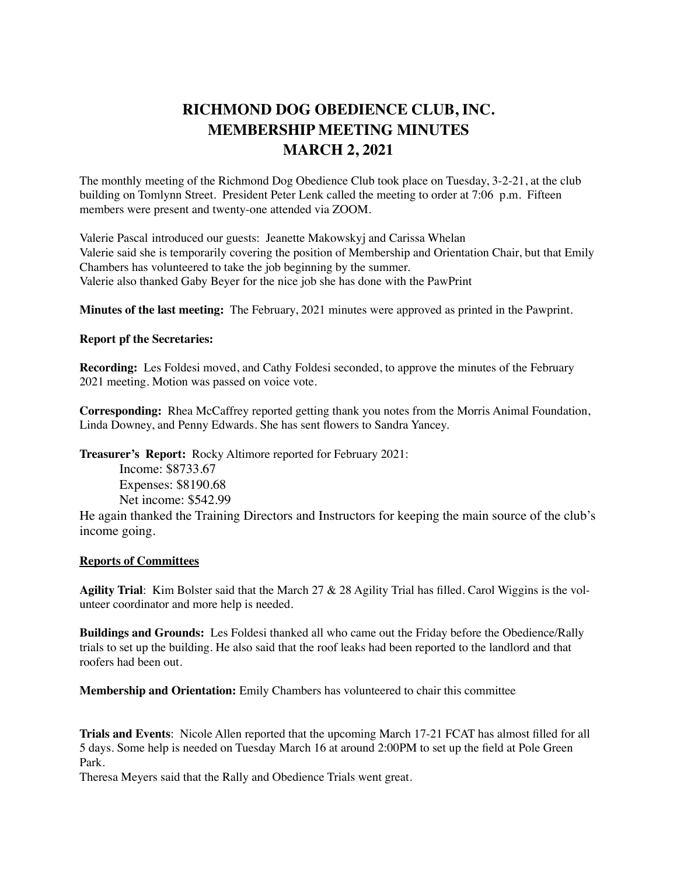## **RICHMOND DOG OBEDIENCE CLUB, INC. MEMBERSHIP MEETING MINUTES MARCH 2, 2021**

The monthly meeting of the Richmond Dog Obedience Club took place on Tuesday, 3-2-21, at the club building on Tomlynn Street. President Peter Lenk called the meeting to order at 7:06 p.m. Fifteen members were present and twenty-one attended via ZOOM.

Valerie Pascal introduced our guests: Jeanette Makowskyj and Carissa Whelan Valerie said she is temporarily covering the position of Membership and Orientation Chair, but that Emily Chambers has volunteered to take the job beginning by the summer. Valerie also thanked Gaby Beyer for the nice job she has done with the PawPrint

**Minutes of the last meeting:** The February, 2021 minutes were approved as printed in the Pawprint.

## **Report pf the Secretaries:**

**Recording:** Les Foldesi moved, and Cathy Foldesi seconded, to approve the minutes of the February 2021 meeting. Motion was passed on voice vote.

**Corresponding:** Rhea McCaffrey reported getting thank you notes from the Morris Animal Foundation, Linda Downey, and Penny Edwards. She has sent flowers to Sandra Yancey.

**Treasurer's Report:** Rocky Altimore reported for February 2021:

Income: \$8733.67 Expenses: \$8190.68 Net income: \$542.99

He again thanked the Training Directors and Instructors for keeping the main source of the club's income going.

## **Reports of Committees**

**Agility Trial**: Kim Bolster said that the March 27 & 28 Agility Trial has filled. Carol Wiggins is the volunteer coordinator and more help is needed.

**Buildings and Grounds:** Les Foldesi thanked all who came out the Friday before the Obedience/Rally trials to set up the building. He also said that the roof leaks had been reported to the landlord and that roofers had been out.

**Membership and Orientation:** Emily Chambers has volunteered to chair this committee

**Trials and Events**: Nicole Allen reported that the upcoming March 17-21 FCAT has almost filled for all 5 days. Some help is needed on Tuesday March 16 at around 2:00PM to set up the field at Pole Green Park.

Theresa Meyers said that the Rally and Obedience Trials went great.